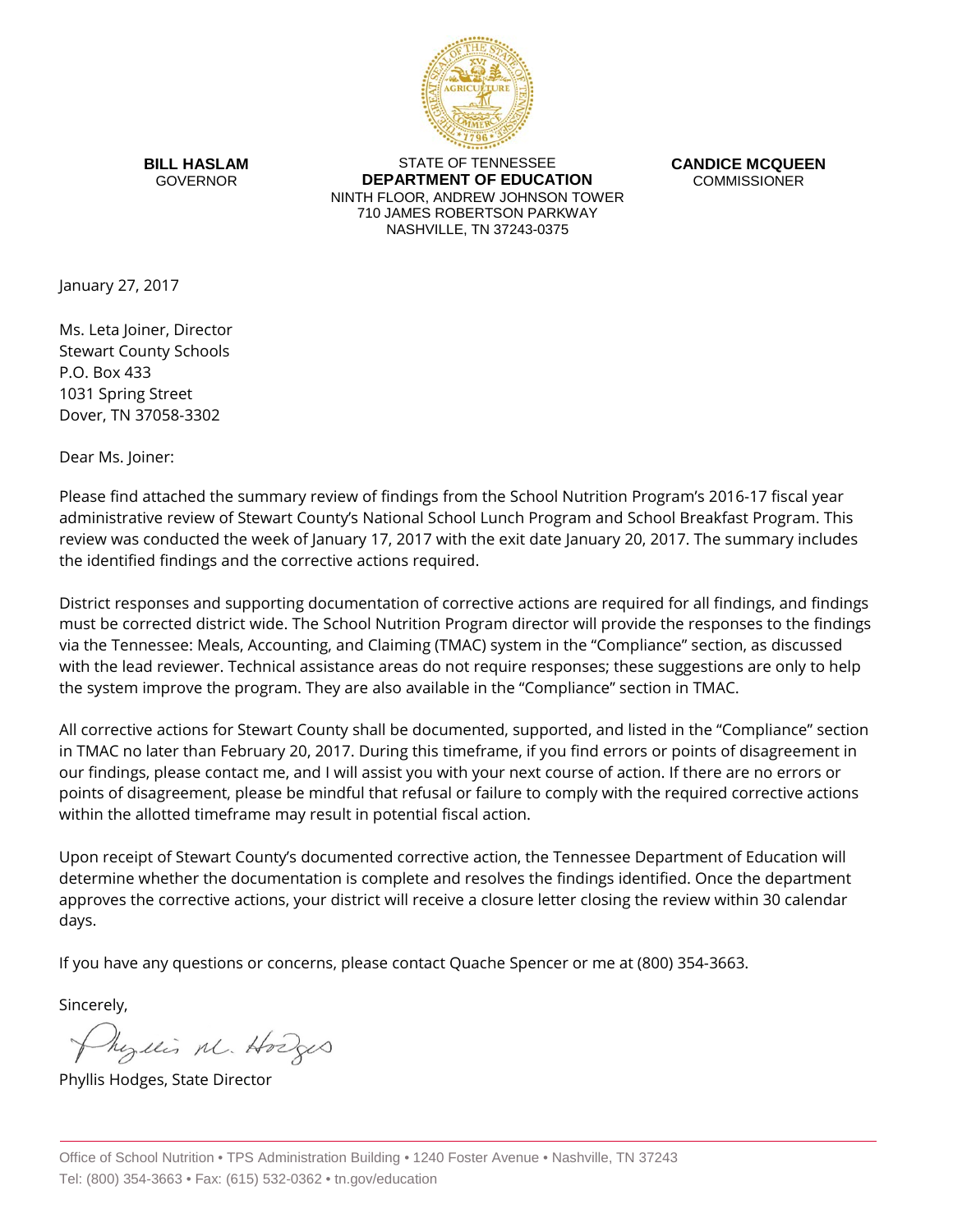

**BILL HASLAM** GOVERNOR

STATE OF TENNESSEE **DEPARTMENT OF EDUCATION** NINTH FLOOR, ANDREW JOHNSON TOWER 710 JAMES ROBERTSON PARKWAY NASHVILLE, TN 37243-0375

**CANDICE MCQUEEN** COMMISSIONER

January 27, 2017

Ms. Leta Joiner, Director Stewart County Schools P.O. Box 433 1031 Spring Street Dover, TN 37058-3302

Dear Ms. Joiner:

Please find attached the summary review of findings from the School Nutrition Program's 2016-17 fiscal year administrative review of Stewart County's National School Lunch Program and School Breakfast Program. This review was conducted the week of January 17, 2017 with the exit date January 20, 2017. The summary includes the identified findings and the corrective actions required.

District responses and supporting documentation of corrective actions are required for all findings, and findings must be corrected district wide. The School Nutrition Program director will provide the responses to the findings via the Tennessee: Meals, Accounting, and Claiming (TMAC) system in the "Compliance" section, as discussed with the lead reviewer. Technical assistance areas do not require responses; these suggestions are only to help the system improve the program. They are also available in the "Compliance" section in TMAC.

All corrective actions for Stewart County shall be documented, supported, and listed in the "Compliance" section in TMAC no later than February 20, 2017. During this timeframe, if you find errors or points of disagreement in our findings, please contact me, and I will assist you with your next course of action. If there are no errors or points of disagreement, please be mindful that refusal or failure to comply with the required corrective actions within the allotted timeframe may result in potential fiscal action.

Upon receipt of Stewart County's documented corrective action, the Tennessee Department of Education will determine whether the documentation is complete and resolves the findings identified. Once the department approves the corrective actions, your district will receive a closure letter closing the review within 30 calendar days.

If you have any questions or concerns, please contact Quache Spencer or me at (800) 354-3663.

Sincerely,

Myllis M. Hodges

Phyllis Hodges, State Director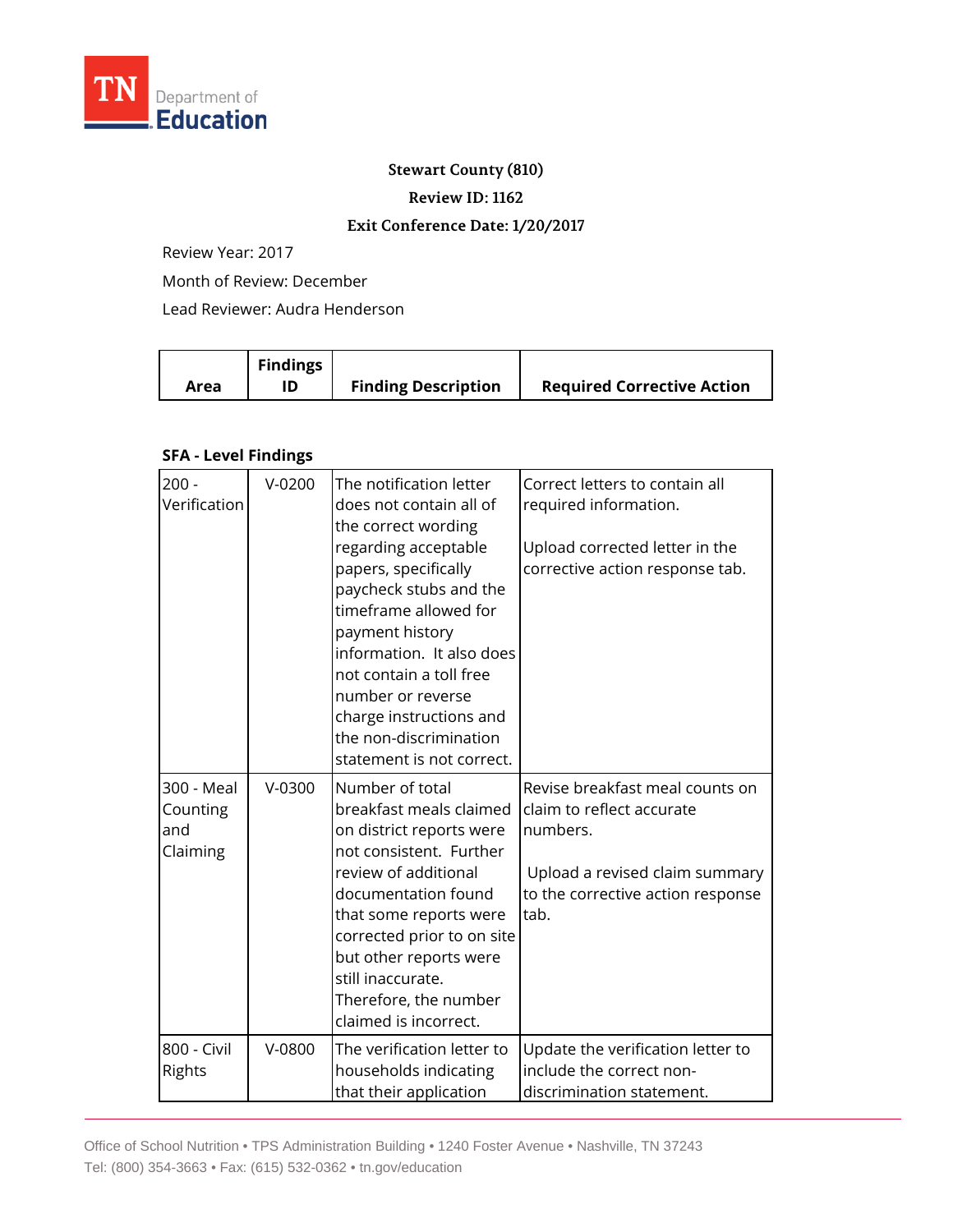

## **Stewart County (810)**

**Review ID: 1162**

## **Exit Conference Date: 1/20/2017**

Review Year: 2017

Month of Review: December

Lead Reviewer: Audra Henderson

|      | <b>Findings</b> |                            |                                   |
|------|-----------------|----------------------------|-----------------------------------|
| Area |                 | <b>Finding Description</b> | <b>Required Corrective Action</b> |

## **SFA - Level Findings**

| $200 -$<br>Verification                   | $V-0200$ | The notification letter<br>does not contain all of<br>the correct wording<br>regarding acceptable<br>papers, specifically<br>paycheck stubs and the<br>timeframe allowed for<br>payment history<br>information. It also does<br>not contain a toll free<br>number or reverse<br>charge instructions and<br>the non-discrimination<br>statement is not correct. | Correct letters to contain all<br>required information.<br>Upload corrected letter in the<br>corrective action response tab.                            |
|-------------------------------------------|----------|----------------------------------------------------------------------------------------------------------------------------------------------------------------------------------------------------------------------------------------------------------------------------------------------------------------------------------------------------------------|---------------------------------------------------------------------------------------------------------------------------------------------------------|
| 300 - Meal<br>Counting<br>and<br>Claiming | $V-0300$ | Number of total<br>breakfast meals claimed<br>on district reports were<br>not consistent. Further<br>review of additional<br>documentation found<br>that some reports were<br>corrected prior to on site<br>but other reports were<br>still inaccurate.<br>Therefore, the number<br>claimed is incorrect.                                                      | Revise breakfast meal counts on<br>claim to reflect accurate<br>numbers.<br>Upload a revised claim summary<br>to the corrective action response<br>tab. |
| 800 - Civil<br>Rights                     | $V-0800$ | The verification letter to<br>households indicating<br>that their application                                                                                                                                                                                                                                                                                  | Update the verification letter to<br>include the correct non-<br>discrimination statement.                                                              |